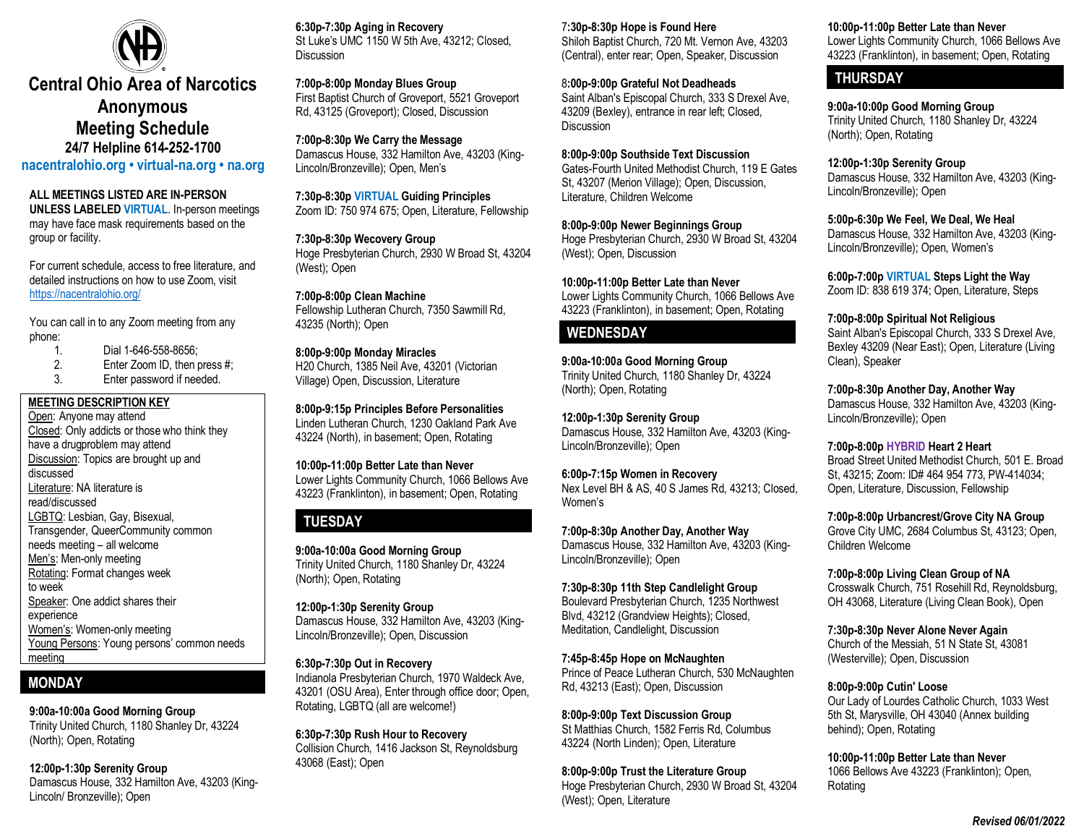

# **Central Ohio Area of Narcotics Anonymous Meeting Schedule 24/7 Helpline 614-252-1700**

**nacentralohio.org • virtual-na.org • na.org**

#### **ALL MEETINGS LISTED ARE IN-PERSON**

**UNLESS LABELED VIRTUAL**. In-person meetings may have face mask requirements based on the group or facility.

For current schedule, access to free literature, and detailed instructions on how to use Zoom, visit <https://nacentralohio.org/>

You can call in to any Zoom meeting from any phone:

- 1. Dial 1-646-558-8656;<br>2. Enter Zoom ID. then u
- 2. Enter Zoom ID, then press #;<br>3. Enter password if needed.

Enter password if needed.

#### **MEETING DESCRIPTION KEY** Open: Anyone may attend Closed: Only addicts or those who think they have a drugproblem may attend Discussion: Topics are brought up and discussed Literature: NA literature is read/discussed LGBTQ: Lesbian, Gay, Bisexual, Transgender, QueerCommunity common needs meeting – all welcome Men's: Men-only meeting Rotating: Format changes week to week Speaker: One addict shares their experience Women's: Women-only meeting Young Persons: Young persons' common needs meeting

## **MONDAY**

#### **9:00a-10:00a Good Morning Group**

Trinity United Church, 1180 Shanley Dr, 43224 (North); Open, Rotating

#### **12:00p-1:30p Serenity Group**

Damascus House, 332 Hamilton Ave, 43203 (King-Lincoln/ Bronzeville); Open

**6:30p-7:30p Aging in Recovery** St Luke's UMC 1150 W 5th Ave, 43212; Closed, **Discussion** 

**7:00p-8:00p Monday Blues Group** First Baptist Church of Groveport, 5521 Groveport Rd, 43125 (Groveport); Closed, Discussion

**7:00p-8:30p We Carry the Message** Damascus House, 332 Hamilton Ave, 43203 (King-Lincoln/Bronzeville); Open, Men's

**7:30p-8:30p VIRTUAL Guiding Principles**  Zoom ID: 750 974 675; Open, Literature, Fellowship

**7:30p-8:30p Wecovery Group** Hoge Presbyterian Church, 2930 W Broad St, 43204 (West); Open

**7:00p-8:00p Clean Machine** Fellowship Lutheran Church, 7350 Sawmill Rd, 43235 (North); Open

**8:00p-9:00p Monday Miracles** H20 Church, 1385 Neil Ave, 43201 (Victorian Village) Open, Discussion, Literature

**8:00p-9:15p Principles Before Personalities** Linden Lutheran Church, 1230 Oakland Park Ave 43224 (North), in basement; Open, Rotating

**10:00p-11:00p Better Late than Never** Lower Lights Community Church, 1066 Bellows Ave 43223 (Franklinton), in basement; Open, Rotating

### **TUESDAY**

**9:00a-10:00a Good Morning Group** Trinity United Church, 1180 Shanley Dr, 43224 (North); Open, Rotating

**12:00p-1:30p Serenity Group** Damascus House, 332 Hamilton Ave, 43203 (King-Lincoln/Bronzeville); Open, Discussion

**6:30p-7:30p Out in Recovery** Indianola Presbyterian Church, 1970 Waldeck Ave, 43201 (OSU Area), Enter through office door; Open, Rotating, LGBTQ (all are welcome!)

**6:30p-7:30p Rush Hour to Recovery** Collision Church, 1416 Jackson St, Reynoldsburg 43068 (East); Open

7**:30p-8:30p Hope is Found Here**

Shiloh Baptist Church, 720 Mt. Vernon Ave, 43203 (Central), enter rear; Open, Speaker, Discussion

8**:00p-9:00p Grateful Not Deadheads** Saint Alban's Episcopal Church, 333 S Drexel Ave, 43209 (Bexley), entrance in rear left; Closed, Discussion

**8:00p-9:00p Southside Text Discussion** Gates-Fourth United Methodist Church, 119 E Gates St, 43207 (Merion Village); Open, Discussion, Literature, Children Welcome

**8:00p-9:00p Newer Beginnings Group** Hoge Presbyterian Church, 2930 W Broad St, 43204 (West); Open, Discussion

**10:00p-11:00p Better Late than Never** Lower Lights Community Church, 1066 Bellows Ave 43223 (Franklinton), in basement; Open, Rotating

### **WEDNESDAY**

**9:00a-10:00a Good Morning Group** Trinity United Church, 1180 Shanley Dr, 43224 (North); Open, Rotating

**12:00p-1:30p Serenity Group** Damascus House, 332 Hamilton Ave, 43203 (King-Lincoln/Bronzeville); Open

**6:00p-7:15p Women in Recovery** Nex Level BH & AS, 40 S James Rd, 43213; Closed, Women's

**7:00p-8:30p Another Day, Another Way** Damascus House, 332 Hamilton Ave, 43203 (King-Lincoln/Bronzeville); Open

**7:30p-8:30p 11th Step Candlelight Group** Boulevard Presbyterian Church, 1235 Northwest Blvd, 43212 (Grandview Heights); Closed, Meditation, Candlelight, Discussion

**7:45p-8:45p Hope on McNaughten** Prince of Peace Lutheran Church, 530 McNaughten Rd, 43213 (East); Open, Discussion

**8:00p-9:00p Text Discussion Group** St Matthias Church, 1582 Ferris Rd, Columbus 43224 (North Linden); Open, Literature

**8:00p-9:00p Trust the Literature Group** Hoge Presbyterian Church, 2930 W Broad St, 43204 (West); Open, Literature

**10:00p-11:00p Better Late than Never**

Lower Lights Community Church, 1066 Bellows Ave 43223 (Franklinton), in basement; Open, Rotating

### **THURSDAY**

**9:00a-10:00p Good Morning Group** Trinity United Church, 1180 Shanley Dr, 43224 (North); Open, Rotating

**12:00p-1:30p Serenity Group** Damascus House, 332 Hamilton Ave, 43203 (King-Lincoln/Bronzeville); Open

**5:00p-6:30p We Feel, We Deal, We Heal**

Damascus House, 332 Hamilton Ave, 43203 (King-Lincoln/Bronzeville); Open, Women's

**6:00p-7:00p VIRTUAL Steps Light the Way** Zoom ID: 838 619 374; Open, Literature, Steps

**7:00p-8:00p Spiritual Not Religious**

Saint Alban's Episcopal Church, 333 S Drexel Ave, Bexley 43209 (Near East); Open, Literature (Living Clean), Speaker

**7:00p-8:30p Another Day, Another Way** Damascus House, 332 Hamilton Ave, 43203 (King-Lincoln/Bronzeville); Open

**7:00p-8:00p HYBRID Heart 2 Heart** Broad Street United Methodist Church, 501 E. Broad St, 43215; Zoom: ID# 464 954 773, PW-414034; Open, Literature, Discussion, Fellowship

**7:00p-8:00p Urbancrest/Grove City NA Group** Grove City UMC, 2684 Columbus St, 43123; Open, Children Welcome

**7:00p-8:00p Living Clean Group of NA** Crosswalk Church, 751 Rosehill Rd, Reynoldsburg, OH 43068, Literature (Living Clean Book), Open

**7:30p-8:30p Never Alone Never Again** Church of the Messiah, 51 N State St, 43081 (Westerville); Open, Discussion

**8:00p-9:00p Cutin' Loose**

Our Lady of Lourdes Catholic Church, 1033 West 5th St, Marysville, OH 43040 (Annex building behind); Open, Rotating

**10:00p-11:00p Better Late than Never** 1066 Bellows Ave 43223 (Franklinton); Open, Rotating